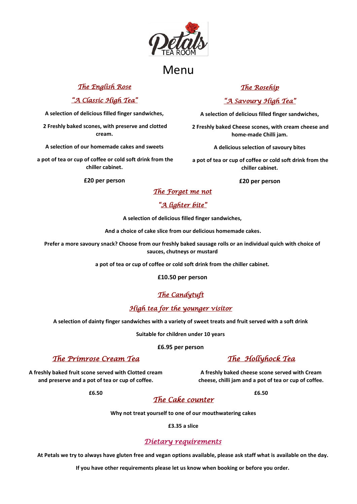

# Menu

### *The English Rose*

## *"A Classic High Tea"*

**A selection of delicious filled finger sandwiches,**

**2 Freshly baked scones, with preserve and clotted cream.**

**A selection of our homemade cakes and sweets**

**a pot of tea or cup of coffee or cold soft drink from the chiller cabinet.**

**£20 per person**

# *The Rosehip*

### *"A Savoury High Tea"*

**A selection of delicious filled finger sandwiches,**

**2 Freshly baked Cheese scones, with cream cheese and home-made Chilli jam.**

**A delicious selection of savoury bites**

**a pot of tea or cup of coffee or cold soft drink from the chiller cabinet.**

**£20 per person**

## *The Forget me not*

### *"A lighter bite"*

**A selection of delicious filled finger sandwiches,**

**And a choice of cake slice from our delicious homemade cakes.**

**Prefer a more savoury snack? Choose from our freshly baked sausage rolls or an individual quich with choice of sauces, chutneys or mustard**

**a pot of tea or cup of coffee or cold soft drink from the chiller cabinet.**

**£10.50 per person**

## *The Candytuft*

#### *High tea for the younger visitor*

**A selection of dainty finger sandwiches with a variety of sweet treats and fruit served with a soft drink**

**Suitable for children under 10 years**

**£6.95 per person**

# *The Primrose Cream Tea*

**A freshly baked fruit scone served with Clotted cream and preserve and a pot of tea or cup of coffee.**

**£6.50**

# *The Hollyhock Tea*

**A freshly baked cheese scone served with Cream cheese, chilli jam and a pot of tea or cup of coffee.**

**£6.50**

# *The Cake counter*

**Why not treat yourself to one of our mouthwatering cakes**

**£3.35 a slice**

#### *Dietary requirements*

**At Petals we try to always have gluten free and vegan options available, please ask staff what is available on the day.**

**If you have other requirements please let us know when booking or before you order.**